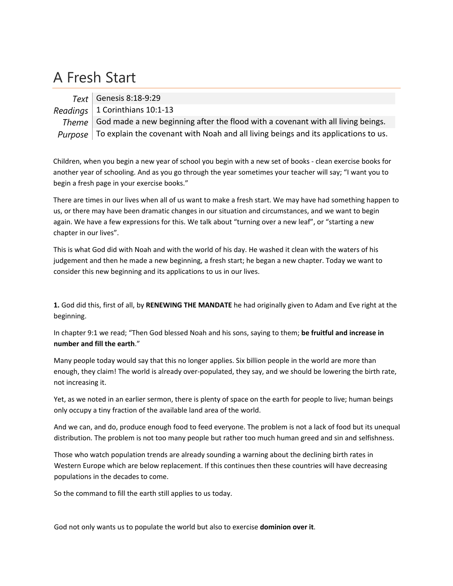## A Fresh Start

*Text* Genesis 8:18‐9:29

*Readings* 1 Corinthians 10:1‐13

*Theme* God made a new beginning after the flood with a covenant with all living beings. *Purpose* | To explain the covenant with Noah and all living beings and its applications to us.

Children, when you begin a new year of school you begin with a new set of books ‐ clean exercise books for another year of schooling. And as you go through the year sometimes your teacher will say; "I want you to begin a fresh page in your exercise books."

There are times in our lives when all of us want to make a fresh start. We may have had something happen to us, or there may have been dramatic changes in our situation and circumstances, and we want to begin again. We have a few expressions for this. We talk about "turning over a new leaf", or "starting a new chapter in our lives".

This is what God did with Noah and with the world of his day. He washed it clean with the waters of his judgement and then he made a new beginning, a fresh start; he began a new chapter. Today we want to consider this new beginning and its applications to us in our lives.

**1.** God did this, first of all, by **RENEWING THE MANDATE** he had originally given to Adam and Eve right at the beginning.

In chapter 9:1 we read; "Then God blessed Noah and his sons, saying to them; **be fruitful and increase in number and fill the earth**."

Many people today would say that this no longer applies. Six billion people in the world are more than enough, they claim! The world is already over-populated, they say, and we should be lowering the birth rate, not increasing it.

Yet, as we noted in an earlier sermon, there is plenty of space on the earth for people to live; human beings only occupy a tiny fraction of the available land area of the world.

And we can, and do, produce enough food to feed everyone. The problem is not a lack of food but its unequal distribution. The problem is not too many people but rather too much human greed and sin and selfishness.

Those who watch population trends are already sounding a warning about the declining birth rates in Western Europe which are below replacement. If this continues then these countries will have decreasing populations in the decades to come.

So the command to fill the earth still applies to us today.

God not only wants us to populate the world but also to exercise **dominion over it**.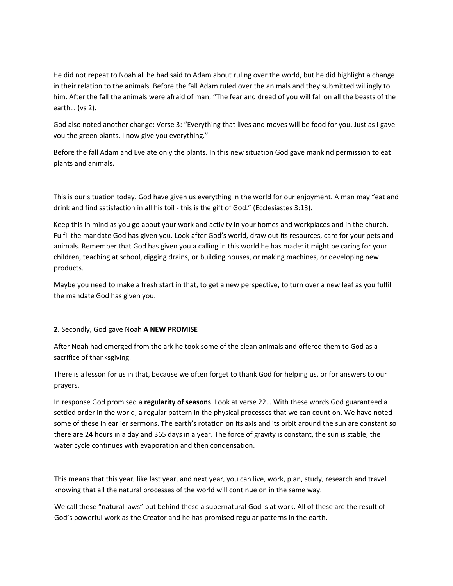He did not repeat to Noah all he had said to Adam about ruling over the world, but he did highlight a change in their relation to the animals. Before the fall Adam ruled over the animals and they submitted willingly to him. After the fall the animals were afraid of man; "The fear and dread of you will fall on all the beasts of the earth… (vs 2).

God also noted another change: Verse 3: "Everything that lives and moves will be food for you. Just as I gave you the green plants, I now give you everything."

Before the fall Adam and Eve ate only the plants. In this new situation God gave mankind permission to eat plants and animals.

This is our situation today. God have given us everything in the world for our enjoyment. A man may "eat and drink and find satisfaction in all his toil - this is the gift of God." (Ecclesiastes 3:13).

Keep this in mind as you go about your work and activity in your homes and workplaces and in the church. Fulfil the mandate God has given you. Look after God's world, draw out its resources, care for your pets and animals. Remember that God has given you a calling in this world he has made: it might be caring for your children, teaching at school, digging drains, or building houses, or making machines, or developing new products.

Maybe you need to make a fresh start in that, to get a new perspective, to turn over a new leaf as you fulfil the mandate God has given you.

## **2.** Secondly, God gave Noah **A NEW PROMISE**

After Noah had emerged from the ark he took some of the clean animals and offered them to God as a sacrifice of thanksgiving.

There is a lesson for us in that, because we often forget to thank God for helping us, or for answers to our prayers.

In response God promised a **regularity of seasons**. Look at verse 22… With these words God guaranteed a settled order in the world, a regular pattern in the physical processes that we can count on. We have noted some of these in earlier sermons. The earth's rotation on its axis and its orbit around the sun are constant so there are 24 hours in a day and 365 days in a year. The force of gravity is constant, the sun is stable, the water cycle continues with evaporation and then condensation.

This means that this year, like last year, and next year, you can live, work, plan, study, research and travel knowing that all the natural processes of the world will continue on in the same way.

We call these "natural laws" but behind these a supernatural God is at work. All of these are the result of God's powerful work as the Creator and he has promised regular patterns in the earth.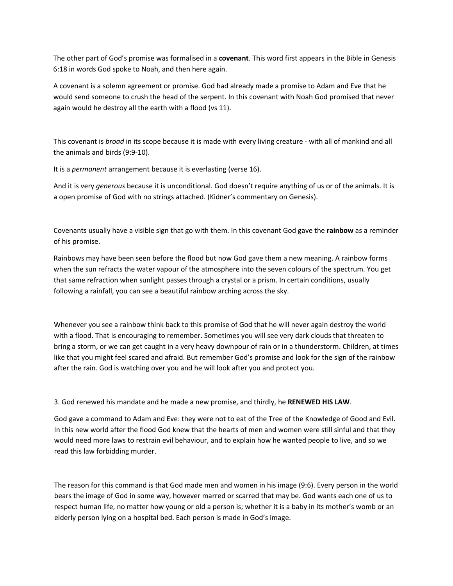The other part of God's promise was formalised in a **covenant**. This word first appears in the Bible in Genesis 6:18 in words God spoke to Noah, and then here again.

A covenant is a solemn agreement or promise. God had already made a promise to Adam and Eve that he would send someone to crush the head of the serpent. In this covenant with Noah God promised that never again would he destroy all the earth with a flood (vs 11).

This covenant is *broad* in its scope because it is made with every living creature ‐ with all of mankind and all the animals and birds (9:9‐10).

It is a *permanent* arrangement because it is everlasting (verse 16).

And it is very *generous* because it is unconditional. God doesn't require anything of us or of the animals. It is a open promise of God with no strings attached. (Kidner's commentary on Genesis).

Covenants usually have a visible sign that go with them. In this covenant God gave the **rainbow** as a reminder of his promise.

Rainbows may have been seen before the flood but now God gave them a new meaning. A rainbow forms when the sun refracts the water vapour of the atmosphere into the seven colours of the spectrum. You get that same refraction when sunlight passes through a crystal or a prism. In certain conditions, usually following a rainfall, you can see a beautiful rainbow arching across the sky.

Whenever you see a rainbow think back to this promise of God that he will never again destroy the world with a flood. That is encouraging to remember. Sometimes you will see very dark clouds that threaten to bring a storm, or we can get caught in a very heavy downpour of rain or in a thunderstorm. Children, at times like that you might feel scared and afraid. But remember God's promise and look for the sign of the rainbow after the rain. God is watching over you and he will look after you and protect you.

3. God renewed his mandate and he made a new promise, and thirdly, he **RENEWED HIS LAW**.

God gave a command to Adam and Eve: they were not to eat of the Tree of the Knowledge of Good and Evil. In this new world after the flood God knew that the hearts of men and women were still sinful and that they would need more laws to restrain evil behaviour, and to explain how he wanted people to live, and so we read this law forbidding murder.

The reason for this command is that God made men and women in his image (9:6). Every person in the world bears the image of God in some way, however marred or scarred that may be. God wants each one of us to respect human life, no matter how young or old a person is; whether it is a baby in its mother's womb or an elderly person lying on a hospital bed. Each person is made in God's image.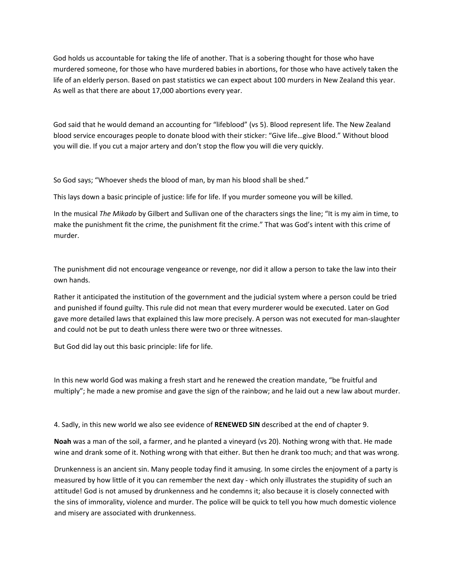God holds us accountable for taking the life of another. That is a sobering thought for those who have murdered someone, for those who have murdered babies in abortions, for those who have actively taken the life of an elderly person. Based on past statistics we can expect about 100 murders in New Zealand this year. As well as that there are about 17,000 abortions every year.

God said that he would demand an accounting for "lifeblood" (vs 5). Blood represent life. The New Zealand blood service encourages people to donate blood with their sticker: "Give life…give Blood." Without blood you will die. If you cut a major artery and don't stop the flow you will die very quickly.

So God says; "Whoever sheds the blood of man, by man his blood shall be shed."

This lays down a basic principle of justice: life for life. If you murder someone you will be killed.

In the musical *The Mikado* by Gilbert and Sullivan one of the characters sings the line; "It is my aim in time, to make the punishment fit the crime, the punishment fit the crime." That was God's intent with this crime of murder.

The punishment did not encourage vengeance or revenge, nor did it allow a person to take the law into their own hands.

Rather it anticipated the institution of the government and the judicial system where a person could be tried and punished if found guilty. This rule did not mean that every murderer would be executed. Later on God gave more detailed laws that explained this law more precisely. A person was not executed for man‐slaughter and could not be put to death unless there were two or three witnesses.

But God did lay out this basic principle: life for life.

In this new world God was making a fresh start and he renewed the creation mandate, "be fruitful and multiply"; he made a new promise and gave the sign of the rainbow; and he laid out a new law about murder.

4. Sadly, in this new world we also see evidence of **RENEWED SIN** described at the end of chapter 9.

**Noah** was a man of the soil, a farmer, and he planted a vineyard (vs 20). Nothing wrong with that. He made wine and drank some of it. Nothing wrong with that either. But then he drank too much; and that was wrong.

Drunkenness is an ancient sin. Many people today find it amusing. In some circles the enjoyment of a party is measured by how little of it you can remember the next day - which only illustrates the stupidity of such an attitude! God is not amused by drunkenness and he condemns it; also because it is closely connected with the sins of immorality, violence and murder. The police will be quick to tell you how much domestic violence and misery are associated with drunkenness.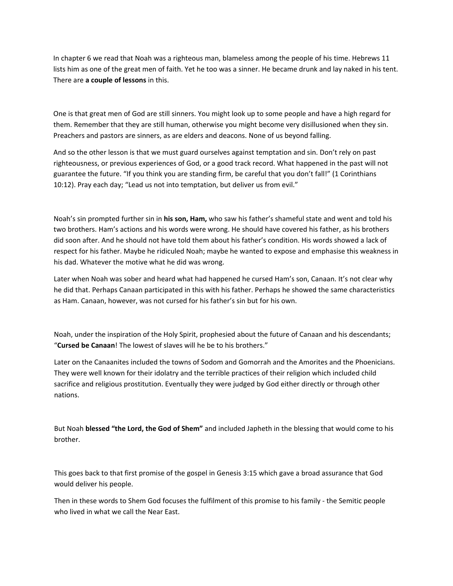In chapter 6 we read that Noah was a righteous man, blameless among the people of his time. Hebrews 11 lists him as one of the great men of faith. Yet he too was a sinner. He became drunk and lay naked in his tent. There are **a couple of lessons** in this.

One is that great men of God are still sinners. You might look up to some people and have a high regard for them. Remember that they are still human, otherwise you might become very disillusioned when they sin. Preachers and pastors are sinners, as are elders and deacons. None of us beyond falling.

And so the other lesson is that we must guard ourselves against temptation and sin. Don't rely on past righteousness, or previous experiences of God, or a good track record. What happened in the past will not guarantee the future. "If you think you are standing firm, be careful that you don't fall!" (1 Corinthians 10:12). Pray each day; "Lead us not into temptation, but deliver us from evil."

Noah's sin prompted further sin in **his son, Ham,** who saw his father's shameful state and went and told his two brothers. Ham's actions and his words were wrong. He should have covered his father, as his brothers did soon after. And he should not have told them about his father's condition. His words showed a lack of respect for his father. Maybe he ridiculed Noah; maybe he wanted to expose and emphasise this weakness in his dad. Whatever the motive what he did was wrong.

Later when Noah was sober and heard what had happened he cursed Ham's son, Canaan. It's not clear why he did that. Perhaps Canaan participated in this with his father. Perhaps he showed the same characteristics as Ham. Canaan, however, was not cursed for his father's sin but for his own.

Noah, under the inspiration of the Holy Spirit, prophesied about the future of Canaan and his descendants; "**Cursed be Canaan**! The lowest of slaves will he be to his brothers."

Later on the Canaanites included the towns of Sodom and Gomorrah and the Amorites and the Phoenicians. They were well known for their idolatry and the terrible practices of their religion which included child sacrifice and religious prostitution. Eventually they were judged by God either directly or through other nations.

But Noah **blessed "the Lord, the God of Shem"** and included Japheth in the blessing that would come to his brother.

This goes back to that first promise of the gospel in Genesis 3:15 which gave a broad assurance that God would deliver his people.

Then in these words to Shem God focuses the fulfilment of this promise to his family ‐ the Semitic people who lived in what we call the Near East.